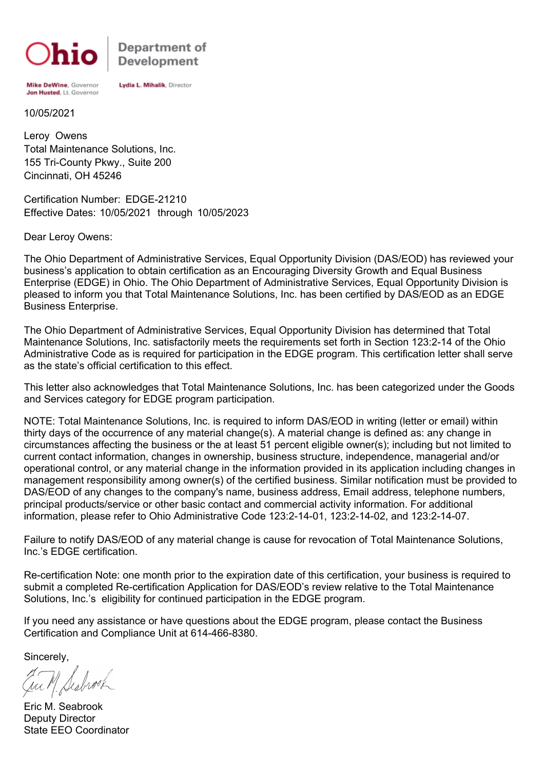

Department of **Development** 

Mike DeWine, Governor Jon Husted, Lt. Governor

Lydia L. Mihalik, Director

10/05/2021

Cincinnati, OH 45246 155 Tri-County Pkwy., Suite 200 Total Maintenance Solutions, Inc. Leroy Owens

Certification Number: EDGE-21210 Effective Dates: 10/05/2021 through 10/05/2023

Dear Leroy Owens:

The Ohio Department of Administrative Services, Equal Opportunity Division (DAS/EOD) has reviewed your business's application to obtain certification as an Encouraging Diversity Growth and Equal Business Enterprise (EDGE) in Ohio. The Ohio Department of Administrative Services, Equal Opportunity Division is pleased to inform you that Total Maintenance Solutions, Inc. has been certified by DAS/EOD as an EDGE Business Enterprise.

The Ohio Department of Administrative Services, Equal Opportunity Division has determined that Total Maintenance Solutions, Inc. satisfactorily meets the requirements set forth in Section 123:2-14 of the Ohio Administrative Code as is required for participation in the EDGE program. This certification letter shall serve as the state's official certification to this effect.

This letter also acknowledges that Total Maintenance Solutions, Inc. has been categorized under the Goods and Services category for EDGE program participation.

NOTE: Total Maintenance Solutions, Inc. is required to inform DAS/EOD in writing (letter or email) within thirty days of the occurrence of any material change(s). A material change is defined as: any change in circumstances affecting the business or the at least 51 percent eligible owner(s); including but not limited to current contact information, changes in ownership, business structure, independence, managerial and/or operational control, or any material change in the information provided in its application including changes in management responsibility among owner(s) of the certified business. Similar notification must be provided to DAS/EOD of any changes to the company's name, business address, Email address, telephone numbers, principal products/service or other basic contact and commercial activity information. For additional information, please refer to Ohio Administrative Code 123:2-14-01, 123:2-14-02, and 123:2-14-07.

Failure to notify DAS/EOD of any material change is cause for revocation of Total Maintenance Solutions, Inc.'s EDGE certification.

Re-certification Note: one month prior to the expiration date of this certification, your business is required to submit a completed Re-certification Application for DAS/EOD's review relative to the Total Maintenance Solutions, Inc.'s eligibility for continued participation in the EDGE program.

If you need any assistance or have questions about the EDGE program, please contact the Business Certification and Compliance Unit at 614-466-8380.

Sincerely,

Eric M. Seabrook Deputy Director State EEO Coordinator